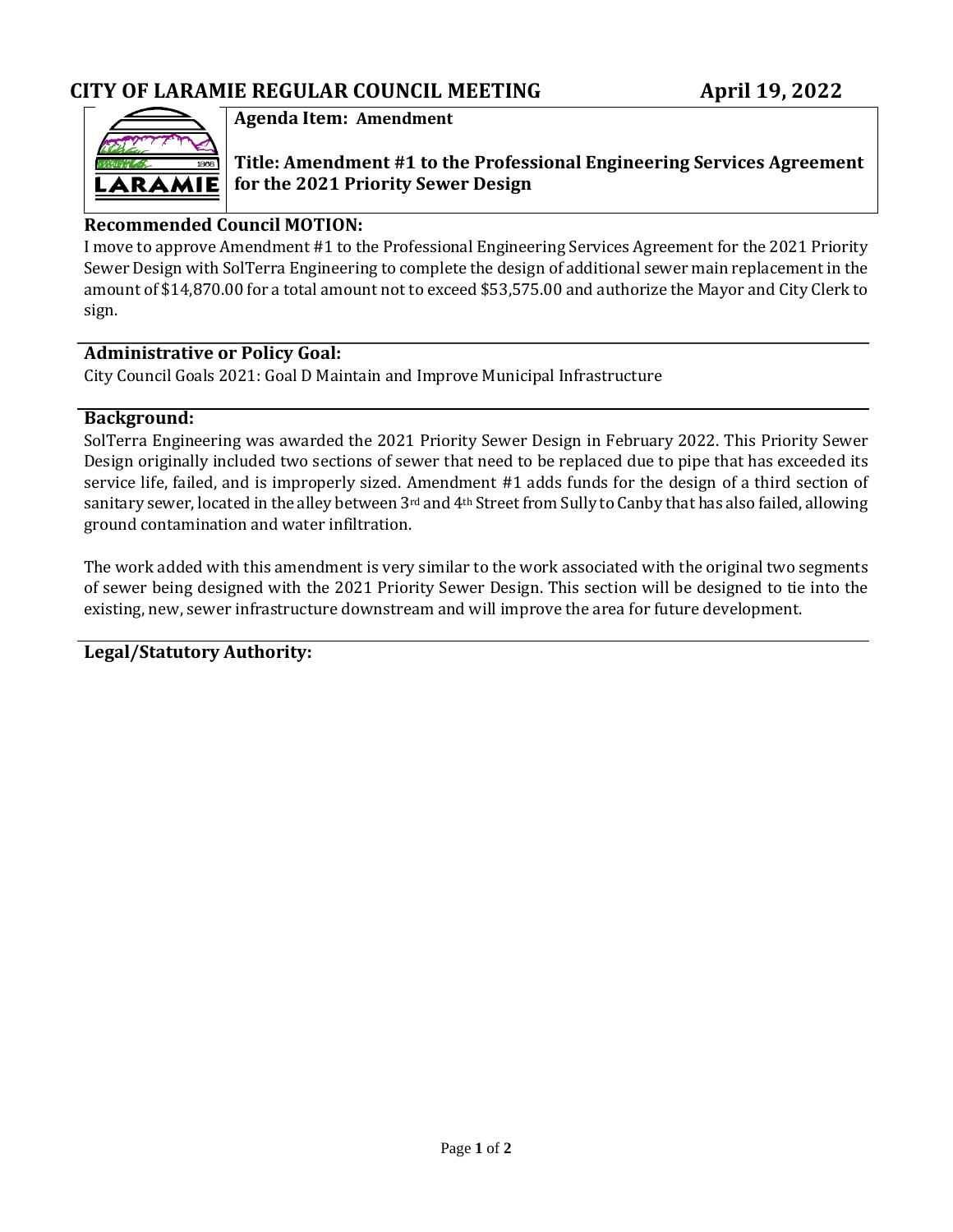

## **Agenda Item: Amendment**

**Title: Amendment #1 to the Professional Engineering Services Agreement for the 2021 Priority Sewer Design** 

## **Recommended Council MOTION:**

I move to approve Amendment #1 to the Professional Engineering Services Agreement for the 2021 Priority Sewer Design with SolTerra Engineering to complete the design of additional sewer main replacement in the amount of \$14,870.00 for a total amount not to exceed \$53,575.00 and authorize the Mayor and City Clerk to sign.

### **Administrative or Policy Goal:**

City Council Goals 2021: Goal D Maintain and Improve Municipal Infrastructure

### **Background:**

SolTerra Engineering was awarded the 2021 Priority Sewer Design in February 2022. This Priority Sewer Design originally included two sections of sewer that need to be replaced due to pipe that has exceeded its service life, failed, and is improperly sized. Amendment #1 adds funds for the design of a third section of sanitary sewer, located in the alley between 3rd and 4th Street from Sully to Canby that has also failed, allowing ground contamination and water infiltration.

The work added with this amendment is very similar to the work associated with the original two segments of sewer being designed with the 2021 Priority Sewer Design. This section will be designed to tie into the existing, new, sewer infrastructure downstream and will improve the area for future development.

**Legal/Statutory Authority:**